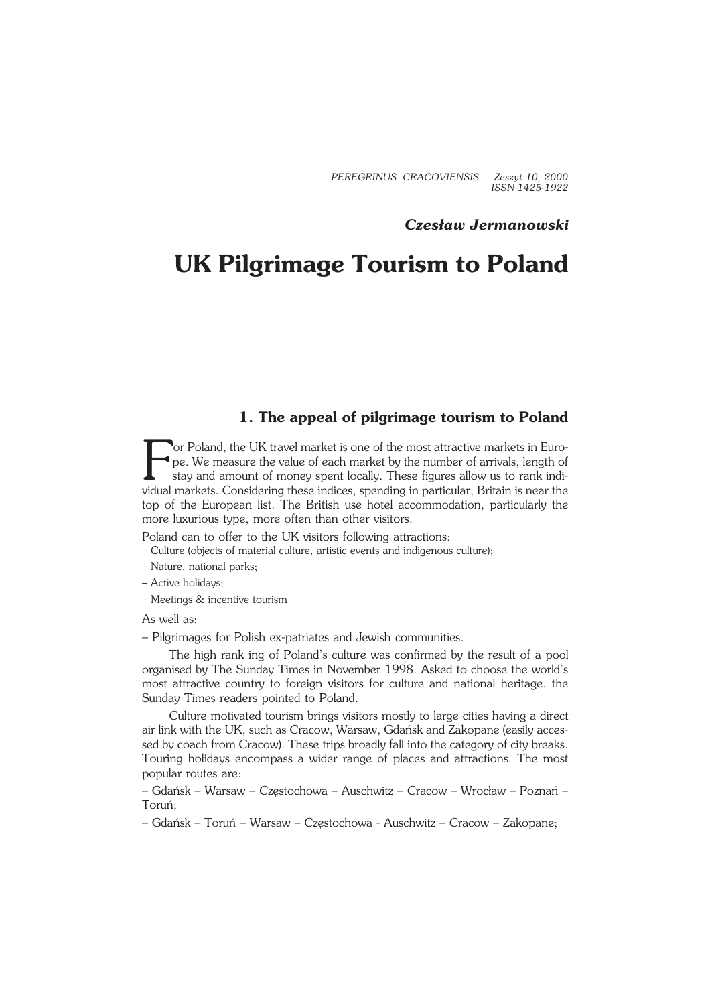*PEREGRINUS CRACOVIENSIS Zeszyt 10, 2000 ISSN 1425−1922*

## *Czesław Jermanowski*

# **UK Pilgrimage Tourism to Poland**

# **1. The appeal of pilgrimage tourism to Poland**

For Poland, the UK travel market is one of the most attractive markets in Europe. We measure the value of each market by the number of arrivals, length of stay and amount of money spent locally. These figures allow us to r or Poland, the UK travel market is one of the most attractive markets in Euro− pe. We measure the value of each market by the number of arrivals, length of stay and amount of money spent locally. These figures allow us to rank indi− top of the European list. The British use hotel accommodation, particularly the more luxurious type, more often than other visitors.

Poland can to offer to the UK visitors following attractions:

- Culture (objects of material culture, artistic events and indigenous culture);
- Nature, national parks;
- Active holidays;
- Meetings & incentive tourism

As well as:

– Pilgrimages for Polish ex−patriates and Jewish communities.

The high rank ing of Poland's culture was confirmed by the result of a pool organised by The Sunday Times in November 1998. Asked to choose the world's most attractive country to foreign visitors for culture and national heritage, the Sunday Times readers pointed to Poland.

Culture motivated tourism brings visitors mostly to large cities having a direct air link with the UK, such as Cracow, Warsaw, Gdańsk and Zakopane (easily acces− sed by coach from Cracow). These trips broadly fall into the category of city breaks. Touring holidays encompass a wider range of places and attractions. The most popular routes are:

– Gdańsk – Warsaw – Częstochowa – Auschwitz – Cracow – Wrocław – Poznań – Toruń;

– Gdańsk – Toruń – Warsaw – Częstochowa − Auschwitz – Cracow – Zakopane;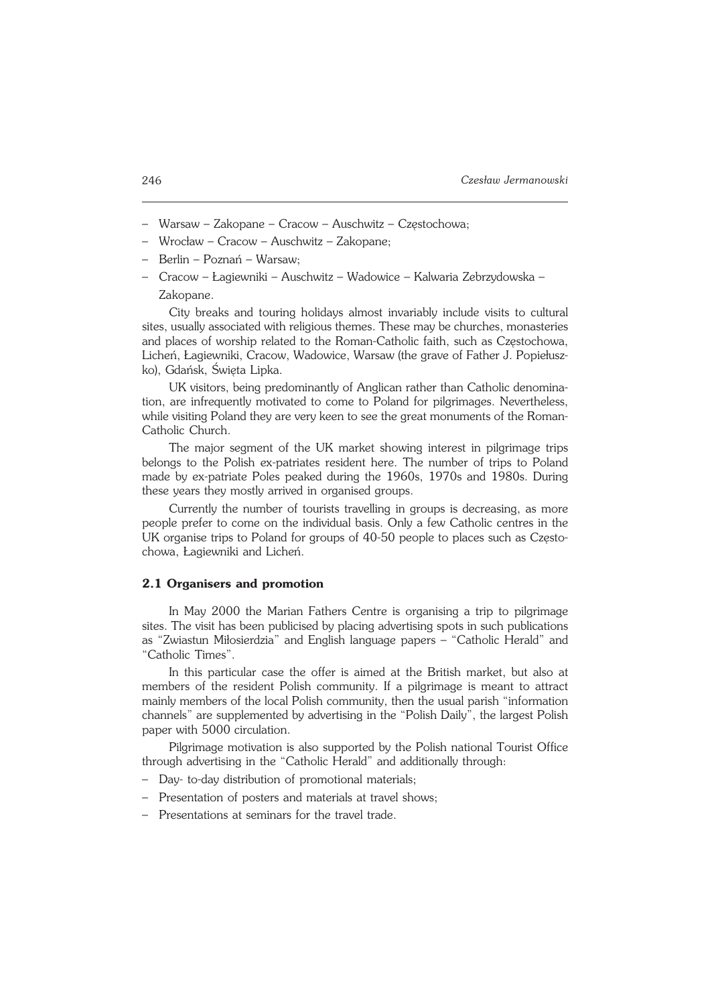- Warsaw Zakopane Cracow Auschwitz Częstochowa;
- Wrocław Cracow Auschwitz Zakopane;
- Berlin Poznań Warsaw;
- Cracow Łagiewniki Auschwitz Wadowice Kalwaria Zebrzydowska Zakopane.

City breaks and touring holidays almost invariably include visits to cultural sites, usually associated with religious themes. These may be churches, monasteries and places of worship related to the Roman−Catholic faith, such as Częstochowa, Licheń, Łagiewniki, Cracow, Wadowice, Warsaw (the grave of Father J. Popiełusz− ko), Gdańsk, Święta Lipka.

UK visitors, being predominantly of Anglican rather than Catholic denomina− tion, are infrequently motivated to come to Poland for pilgrimages. Nevertheless, while visiting Poland they are very keen to see the great monuments of the Roman− Catholic Church.

The major segment of the UK market showing interest in pilgrimage trips belongs to the Polish ex−patriates resident here. The number of trips to Poland made by ex−patriate Poles peaked during the 1960s, 1970s and 1980s. During these years they mostly arrived in organised groups.

Currently the number of tourists travelling in groups is decreasing, as more people prefer to come on the individual basis. Only a few Catholic centres in the UK organise trips to Poland for groups of 40−50 people to places such as Często− chowa, Łagiewniki and Licheń.

#### **2.1 Organisers and promotion**

In May 2000 the Marian Fathers Centre is organising a trip to pilgrimage sites. The visit has been publicised by placing advertising spots in such publications as "Zwiastun Miłosierdzia" and English language papers – "Catholic Herald" and "Catholic Times".

In this particular case the offer is aimed at the British market, but also at members of the resident Polish community. If a pilgrimage is meant to attract mainly members of the local Polish community, then the usual parish "information channels" are supplemented by advertising in the "Polish Daily", the largest Polish paper with 5000 circulation.

Pilgrimage motivation is also supported by the Polish national Tourist Office through advertising in the "Catholic Herald" and additionally through:

- Day− to−day distribution of promotional materials;
- Presentation of posters and materials at travel shows;
- Presentations at seminars for the travel trade.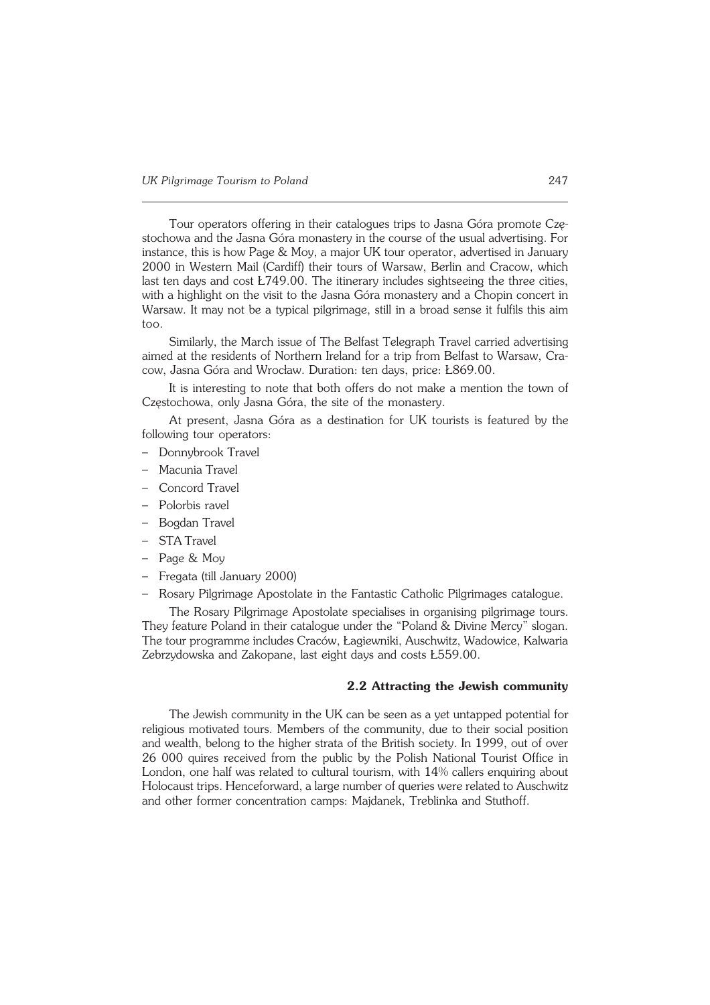Tour operators offering in their catalogues trips to Jasna Góra promote Czę− stochowa and the Jasna Góra monastery in the course of the usual advertising. For instance, this is how Page & Moy, a major UK tour operator, advertised in January 2000 in Western Mail (Cardiff) their tours of Warsaw, Berlin and Cracow, which last ten days and cost Ł749.00. The itinerary includes sightseeing the three cities, with a highlight on the visit to the Jasna Góra monastery and a Chopin concert in Warsaw. It may not be a typical pilgrimage, still in a broad sense it fulfils this aim too.

Similarly, the March issue of The Belfast Telegraph Travel carried advertising aimed at the residents of Northern Ireland for a trip from Belfast to Warsaw, Cra− cow, Jasna Góra and Wrocław. Duration: ten days, price: Ł869.00.

It is interesting to note that both offers do not make a mention the town of Częstochowa, only Jasna Góra, the site of the monastery.

At present, Jasna Góra as a destination for UK tourists is featured by the following tour operators:

- Donnybrook Travel
- Macunia Travel
- Concord Travel
- Polorbis ravel
- Bogdan Travel
- STA Travel
- Page & Moy
- Fregata (till January 2000)
- Rosary Pilgrimage Apostolate in the Fantastic Catholic Pilgrimages catalogue.

The Rosary Pilgrimage Apostolate specialises in organising pilgrimage tours. They feature Poland in their catalogue under the "Poland & Divine Mercy" slogan. The tour programme includes Craców, Łagiewniki, Auschwitz, Wadowice, Kalwaria Zebrzydowska and Zakopane, last eight days and costs Ł559.00.

### **2.2 Attracting the Jewish community**

The Jewish community in the UK can be seen as a yet untapped potential for religious motivated tours. Members of the community, due to their social position and wealth, belong to the higher strata of the British society. In 1999, out of over 26 000 quires received from the public by the Polish National Tourist Office in London, one half was related to cultural tourism, with 14% callers enquiring about Holocaust trips. Henceforward, a large number of queries were related to Auschwitz and other former concentration camps: Majdanek, Treblinka and Stuthoff.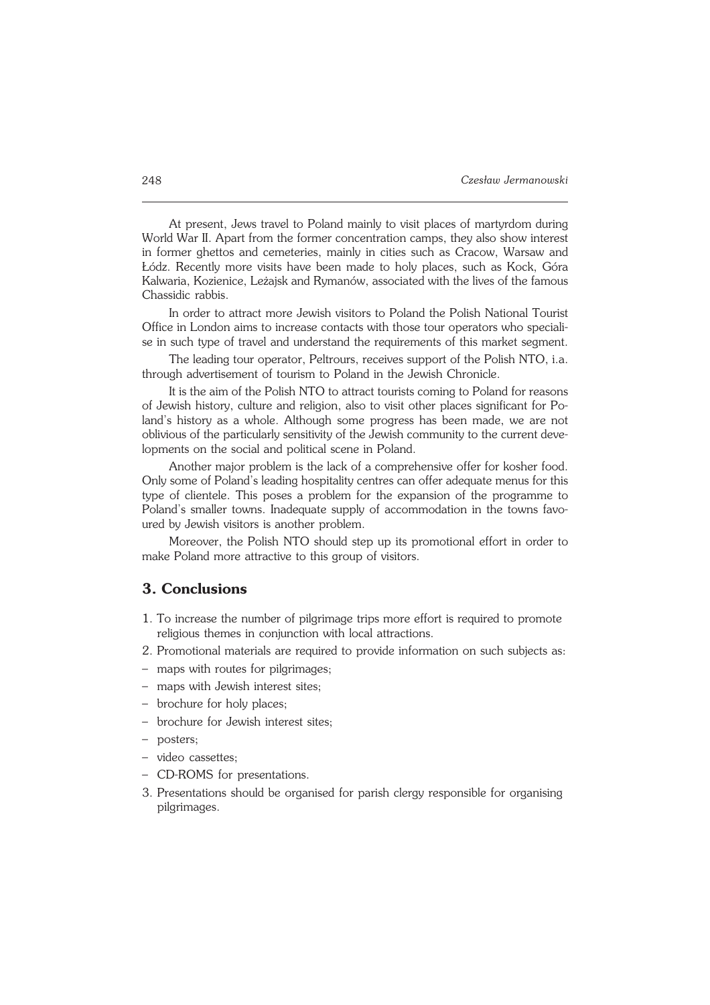At present, Jews travel to Poland mainly to visit places of martyrdom during World War II. Apart from the former concentration camps, they also show interest in former ghettos and cemeteries, mainly in cities such as Cracow, Warsaw and Łódz. Recently more visits have been made to holy places, such as Kock, Góra Kalwaria, Kozienice, Leżajsk and Rymanów, associated with the lives of the famous Chassidic rabbis.

In order to attract more Jewish visitors to Poland the Polish National Tourist Office in London aims to increase contacts with those tour operators who speciali− se in such type of travel and understand the requirements of this market segment.

The leading tour operator, Peltrours, receives support of the Polish NTO, i.a. through advertisement of tourism to Poland in the Jewish Chronicle.

It is the aim of the Polish NTO to attract tourists coming to Poland for reasons of Jewish history, culture and religion, also to visit other places significant for Po− land's history as a whole. Although some progress has been made, we are not oblivious of the particularly sensitivity of the Jewish community to the current deve− lopments on the social and political scene in Poland.

Another major problem is the lack of a comprehensive offer for kosher food. Only some of Poland's leading hospitality centres can offer adequate menus for this type of clientele. This poses a problem for the expansion of the programme to Poland's smaller towns. Inadequate supply of accommodation in the towns favoured by Jewish visitors is another problem.

Moreover, the Polish NTO should step up its promotional effort in order to make Poland more attractive to this group of visitors.

## **3. Conclusions**

- 1. To increase the number of pilgrimage trips more effort is required to promote religious themes in conjunction with local attractions.
- 2. Promotional materials are required to provide information on such subjects as:
- maps with routes for pilgrimages;
- maps with Jewish interest sites;
- brochure for holy places;
- brochure for Jewish interest sites;
- posters;
- video cassettes;
- CD−ROMS for presentations.
- 3. Presentations should be organised for parish clergy responsible for organising pilgrimages.